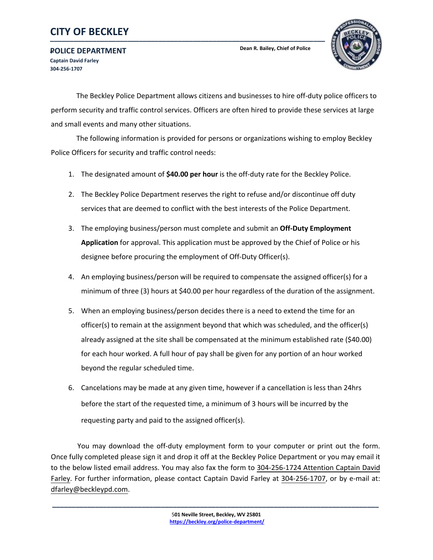### **\_\_\_\_\_\_\_\_\_\_\_\_\_\_\_\_\_\_\_\_\_\_\_\_\_\_\_\_\_\_\_\_\_\_\_\_\_\_\_\_\_\_\_\_\_\_\_\_\_\_\_\_\_\_\_\_\_\_\_\_\_\_\_\_\_\_\_\_\_\_\_ CITY OF BECKLEY**

The Beckley Police Department allows citizens and businesses to hire off-duty police officers to perform security and traffic control services. Officers are often hired to provide these services at large and small events and many other situations.

**Dean R. Bailey, Chief of Police**

 The following information is provided for persons or organizations wishing to employ Beckley Police Officers for security and traffic control needs:

- 1. The designated amount of **\$40.00 per hour** is the off-duty rate for the Beckley Police.
- 2. The Beckley Police Department reserves the right to refuse and/or discontinue off duty services that are deemed to conflict with the best interests of the Police Department.
- 3. The employing business/person must complete and submit an **Off-Duty Employment Application** for approval. This application must be approved by the Chief of Police or his designee before procuring the employment of Off-Duty Officer(s).
- 4. An employing business/person will be required to compensate the assigned officer(s) for a minimum of three (3) hours at \$40.00 per hour regardless of the duration of the assignment.
- 5. When an employing business/person decides there is a need to extend the time for an officer(s) to remain at the assignment beyond that which was scheduled, and the officer(s) already assigned at the site shall be compensated at the minimum established rate (\$40.00) for each hour worked. A full hour of pay shall be given for any portion of an hour worked beyond the regular scheduled time.
- 6. Cancelations may be made at any given time, however if a cancellation is less than 24hrs before the start of the requested time, a minimum of 3 hours will be incurred by the requesting party and paid to the assigned officer(s).

 You may download the off-duty employment form to your computer or print out the form. Once fully completed please sign it and drop it off at the Beckley Police Department or you may email it to the below listed email address. You may also fax the form to 304-256-1724 Attention Captain David Farley. For further information, please contact Captain David Farley at 304-256-1707, or by e-mail at: dfarley@beckleypd.com.